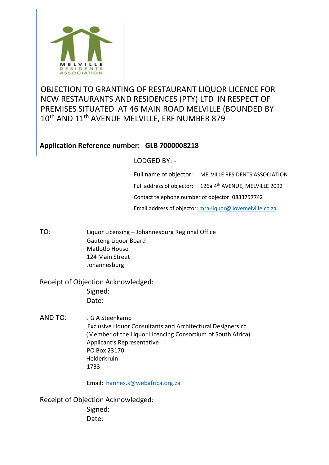

## OBJECTION TO GRANTING OF RESTAURANT LIQUOR LICENCE FOR NCW RESTAURANTS AND RESIDENCES (PTY) LTD IN RESPECT OF PREMISES SITUATED AT 46 MAIN ROAD MELVILLE (BOUNDED BY 10<sup>th</sup> AND 11<sup>th</sup> AVENUE MELVILLE, ERF NUMBER 879

## **Application Reference number: GLB 7000008218**

## LODGED BY: -

Full name of objector: MELVILLE RESIDENTS ASSOCIATION Full address of objector: 126a 4<sup>th</sup> AVENUE, MELVILLE 2092 Contact telephone number of objector: 0833757742 Email address of objector: [mra-liquor@ilovemelville.co.za](mailto:mra-liquor@ilovemelville.co.za)

TO: Liquor Licensing – Johannesburg Regional Office Gauteng Liquor Board Matlotlo House 124 Main Street Johannesburg

Receipt of Objection Acknowledged: Signed: Date:

AND TO: J G A Steenkamp Exclusive Liquor Consultants and Architectural Designers cc (Member of the Liquor Licencing Consortium of South Africa) Applicant's Representative PO Box 23170 Helderkruin 1733

Email: [hannes.s@webafrica.org.za](mailto:hannes.s@webafrica.org.za)

Receipt of Objection Acknowledged: Signed: Date: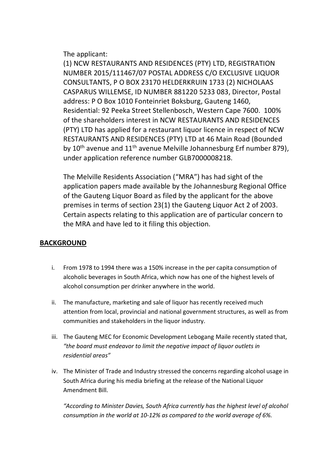The applicant:

(1) NCW RESTAURANTS AND RESIDENCES (PTY) LTD, REGISTRATION NUMBER 2015/111467/07 POSTAL ADDRESS C/O EXCLUSIVE LIQUOR CONSULTANTS, P O BOX 23170 HELDERKRUIN 1733 (2) NICHOLAAS CASPARUS WILLEMSE, ID NUMBER 881220 5233 083, Director, Postal address: P O Box 1010 Fonteinriet Boksburg, Gauteng 1460, Residential: 92 Peeka Street Stellenbosch, Western Cape 7600. 100% of the shareholders interest in NCW RESTAURANTS AND RESIDENCES (PTY) LTD has applied for a restaurant liquor licence in respect of NCW RESTAURANTS AND RESIDENCES (PTY) LTD at 46 Main Road (Bounded by  $10<sup>th</sup>$  avenue and  $11<sup>th</sup>$  avenue Melville Johannesburg Erf number 879), under application reference number GLB7000008218.

The Melville Residents Association ("MRA") has had sight of the application papers made available by the Johannesburg Regional Office of the Gauteng Liquor Board as filed by the applicant for the above premises in terms of section 23(1) the Gauteng Liquor Act 2 of 2003. Certain aspects relating to this application are of particular concern to the MRA and have led to it filing this objection.

## **BACKGROUND**

- i. From 1978 to 1994 there was a 150% increase in the per capita consumption of alcoholic beverages in South Africa, which now has one of the highest levels of alcohol consumption per drinker anywhere in the world.
- ii. The manufacture, marketing and sale of liquor has recently received much attention from local, provincial and national government structures, as well as from communities and stakeholders in the liquor industry.
- iii. The Gauteng MEC for Economic Development Lebogang Maile recently stated that, *"the board must endeavor to limit the negative impact of liquor outlets in residential areas"*
- iv. The Minister of Trade and Industry stressed the concerns regarding alcohol usage in South Africa during his media briefing at the release of the National Liquor Amendment Bill.

*"According to Minister Davies, South Africa currently has the highest level of alcohol consumption in the world at 10-12% as compared to the world average of 6%.*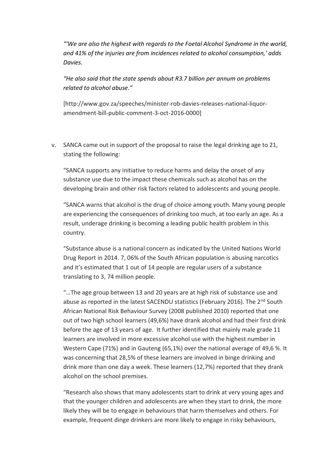*"'We are also the highest with regards to the Foetal Alcohol Syndrome in the world, and 41% of the injuries are from incidences related to alcohol consumption,' adds Davies.*

*"He also said that the state spends about R3.7 billion per annum on problems related to alcohol abuse."*

[http://www.gov.za/speeches/minister-rob-davies-releases-national-liquoramendment-bill-public-comment-3-oct-2016-0000]

v. SANCA came out in support of the proposal to raise the legal drinking age to 21, stating the following:

"SANCA supports any initiative to reduce harms and delay the onset of any substance use due to the impact these chemicals such as alcohol has on the developing brain and other risk factors related to adolescents and young people.

"SANCA warns that alcohol is the drug of choice among youth. Many young people are experiencing the consequences of drinking too much, at too early an age. As a result, underage drinking is becoming a leading public health problem in this country.

"Substance abuse is a national concern as indicated by the United Nations World Drug Report in 2014. 7, 06% of the South African population is abusing narcotics and it's estimated that 1 out of 14 people are regular users of a substance translating to 3, 74 million people.

"…The age group between 13 and 20 years are at high risk of substance use and abuse as reported in the latest SACENDU statistics (February 2016). The 2<sup>nd</sup> South African National Risk Behaviour Survey (2008 published 2010) reported that one out of two high school learners (49,6%) have drank alcohol and had their first drink before the age of 13 years of age. It further identified that mainly male grade 11 learners are involved in more excessive alcohol use with the highest number in Western Cape (71%) and in Gauteng (65,1%) over the national average of 49,6 %. It was concerning that 28,5% of these learners are involved in binge drinking and drink more than one day a week. These learners (12,7%) reported that they drank alcohol on the school premises.

"Research also shows that many adolescents start to drink at very young ages and that the younger children and adolescents are when they start to drink, the more likely they will be to engage in behaviours that harm themselves and others. For example, frequent dinge drinkers are more likely to engage in risky behaviours,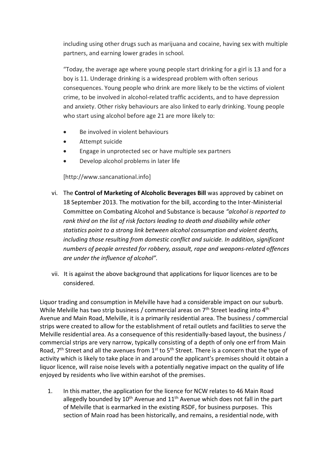including using other drugs such as marijuana and cocaine, having sex with multiple partners, and earning lower grades in school.

"Today, the average age where young people start drinking for a girl is 13 and for a boy is 11. Underage drinking is a widespread problem with often serious consequences. Young people who drink are more likely to be the victims of violent crime, to be involved in alcohol-related traffic accidents, and to have depression and anxiety. Other risky behaviours are also linked to early drinking. Young people who start using alcohol before age 21 are more likely to:

- Be involved in violent behaviours
- Attempt suicide
- Engage in unprotected sec or have multiple sex partners
- Develop alcohol problems in later life

[http://www.sancanational.info]

- vi. The **Control of Marketing of Alcoholic Beverages Bill** was approved by cabinet on 18 September 2013. The motivation for the bill, according to the Inter-Ministerial Committee on Combating Alcohol and Substance is because *"alcohol is reported to rank third on the list of risk factors leading to death and disability while other statistics point to a strong link between alcohol consumption and violent deaths, including those resulting from domestic conflict and suicide. In addition, significant numbers of people arrested for robbery, assault, rape and weapons-related offences are under the influence of alcohol".*
- vii. It is against the above background that applications for liquor licences are to be considered.

Liquor trading and consumption in Melville have had a considerable impact on our suburb. While Melville has two strip business / commercial areas on  $7<sup>th</sup>$  Street leading into  $4<sup>th</sup>$ Avenue and Main Road, Melville, it is a primarily residential area. The business / commercial strips were created to allow for the establishment of retail outlets and facilities to serve the Melville residential area. As a consequence of this residentially-based layout, the business / commercial strips are very narrow, typically consisting of a depth of only one erf from Main Road, 7<sup>th</sup> Street and all the avenues from 1<sup>st</sup> to 5<sup>th</sup> Street. There is a concern that the type of activity which is likely to take place in and around the applicant's premises should it obtain a liquor licence, will raise noise levels with a potentially negative impact on the quality of life enjoyed by residents who live within earshot of the premises.

1. In this matter, the application for the licence for NCW relates to 46 Main Road allegedly bounded by  $10^{th}$  Avenue and  $11^{th}$  Avenue which does not fall in the part of Melville that is earmarked in the existing RSDF, for business purposes. This section of Main road has been historically, and remains, a residential node, with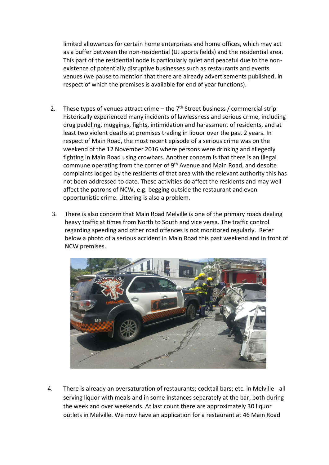limited allowances for certain home enterprises and home offices, which may act as a buffer between the non-residential (UJ sports fields) and the residential area. This part of the residential node is particularly quiet and peaceful due to the nonexistence of potentially disruptive businesses such as restaurants and events venues (we pause to mention that there are already advertisements published, in respect of which the premises is available for end of year functions).

- 2. These types of venues attract crime the  $7<sup>th</sup>$  Street business / commercial strip historically experienced many incidents of lawlessness and serious crime, including drug peddling, muggings, fights, intimidation and harassment of residents, and at least two violent deaths at premises trading in liquor over the past 2 years. In respect of Main Road, the most recent episode of a serious crime was on the weekend of the 12 November 2016 where persons were drinking and allegedly fighting in Main Road using crowbars. Another concern is that there is an illegal commune operating from the corner of 9<sup>th</sup> Avenue and Main Road, and despite complaints lodged by the residents of that area with the relevant authority this has not been addressed to date. These activities do affect the residents and may well affect the patrons of NCW, e.g. begging outside the restaurant and even opportunistic crime. Littering is also a problem.
- 3. There is also concern that Main Road Melville is one of the primary roads dealing heavy traffic at times from North to South and vice versa. The traffic control regarding speeding and other road offences is not monitored regularly. Refer below a photo of a serious accident in Main Road this past weekend and in front of NCW premises.



4. There is already an oversaturation of restaurants; cocktail bars; etc. in Melville - all serving liquor with meals and in some instances separately at the bar, both during the week and over weekends. At last count there are approximately 30 liquor outlets in Melville. We now have an application for a restaurant at 46 Main Road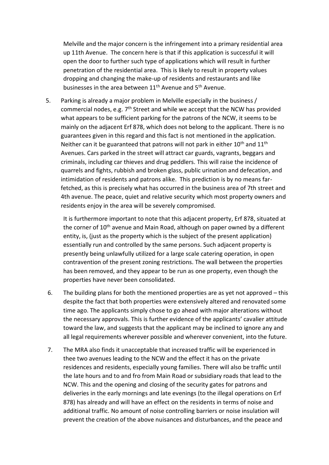Melville and the major concern is the infringement into a primary residential area up 11th Avenue. The concern here is that if this application is successful it will open the door to further such type of applications which will result in further penetration of the residential area. This is likely to result in property values dropping and changing the make-up of residents and restaurants and like businesses in the area between 11<sup>th</sup> Avenue and 5<sup>th</sup> Avenue.

 5. Parking is already a major problem in Melville especially in the business / commercial nodes, e.g.  $7<sup>th</sup>$  Street and while we accept that the NCW has provided what appears to be sufficient parking for the patrons of the NCW, it seems to be mainly on the adjacent Erf 878, which does not belong to the applicant. There is no guarantees given in this regard and this fact is not mentioned in the application. Neither can it be guaranteed that patrons will not park in either  $10<sup>th</sup>$  and  $11<sup>th</sup>$ Avenues. Cars parked in the street will attract car guards, vagrants, beggars and criminals, including car thieves and drug peddlers. This will raise the incidence of quarrels and fights, rubbish and broken glass, public urination and defecation, and intimidation of residents and patrons alike. This prediction is by no means farfetched, as this is precisely what has occurred in the business area of 7th street and 4th avenue. The peace, quiet and relative security which most property owners and residents enjoy in the area will be severely compromised.

It is furthermore important to note that this adjacent property, Erf 878, situated at the corner of  $10<sup>th</sup>$  avenue and Main Road, although on paper owned by a different entity, is, (just as the property which is the subject of the present application) essentially run and controlled by the same persons. Such adjacent property is presently being unlawfully utilized for a large scale catering operation, in open contravention of the present zoning restrictions. The wall between the properties has been removed, and they appear to be run as one property, even though the properties have never been consolidated.

- 6. The building plans for both the mentioned properties are as yet not approved this despite the fact that both properties were extensively altered and renovated some time ago. The applicants simply chose to go ahead with major alterations without the necessary approvals. This is further evidence of the applicants' cavalier attitude toward the law, and suggests that the applicant may be inclined to ignore any and all legal requirements wherever possible and wherever convenient, into the future.
- 7. The MRA also finds it unacceptable that increased traffic will be experienced in thee two avenues leading to the NCW and the effect it has on the private residences and residents, especially young families. There will also be traffic until the late hours and to and fro from Main Road or subsidiary roads that lead to the NCW. This and the opening and closing of the security gates for patrons and deliveries in the early mornings and late evenings (to the illegal operations on Erf 878) has already and will have an effect on the residents in terms of noise and additional traffic. No amount of noise controlling barriers or noise insulation will prevent the creation of the above nuisances and disturbances, and the peace and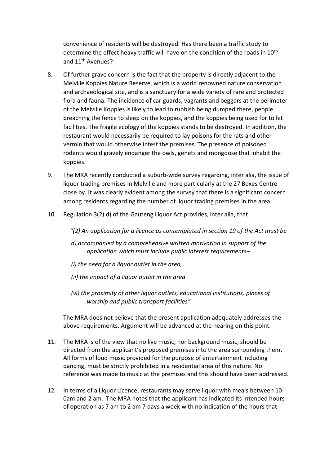convenience of residents will be destroyed. Has there been a traffic study to determine the effect heavy traffic will have on the condition of the roads in 10<sup>th</sup> and 11<sup>th</sup> Avenues?

- 8. Of further grave concern is the fact that the property is directly adjacent to the Melville Koppies Nature Reserve, which is a world renowned nature conservation and archaeological site, and is a sanctuary for a wide variety of rare and protected flora and fauna. The incidence of car guards, vagrants and beggars at the perimeter of the Melville Koppies is likely to lead to rubbish being dumped there, people breaching the fence to sleep on the koppies, and the koppies being used for toilet facilities. The fragile ecology of the koppies stands to be destroyed. In addition, the restaurant would necessarily be required to lay poisons for the rats and other vermin that would otherwise infest the premises. The presence of poisoned rodents would gravely endanger the owls, genets and mongoose that inhabit the koppies.
- 9. The MRA recently conducted a suburb-wide survey regarding, inter alia, the issue of liquor trading premises in Melville and more particularly at the 27 Boxes Centre close by. It was clearly evident among the survey that there is a significant concern among residents regarding the number of liquor trading premises in the area.
- 10. Regulation 3(2) d) of the Gauteng Liquor Act provides, inter alia, that:
	- *"(2) An application for a licence as contemplated in section 19 of the Act must be*
	- *d) accompanied by a comprehensive written motivation in support of the application which must include public interest requirements–*
	- *(i) the need for a liquor outlet in the area,*
	- *(ii) the impact of a liquor outlet in the area*
	- *(vi) the proximity of other liquor outlets, educational institutions, places of worship and public transport facilities"*

The MRA does not believe that the present application adequately addresses the above requirements. Argument will be advanced at the hearing on this point.

- 11. The MRA is of the view that no live music, nor background music, should be directed from the applicant's proposed premises into the area surrounding them. All forms of loud music provided for the purpose of entertainment including dancing, must be strictly prohibited in a residential area of this nature. No reference was made to music at the premises and this should have been addressed.
- 12. In terms of a Liquor Licence, restaurants may serve liquor with meals between 10 0am and 2 am. The MRA notes that the applicant has indicated its intended hours of operation as 7 am to 2 am 7 days a week with no indication of the hours that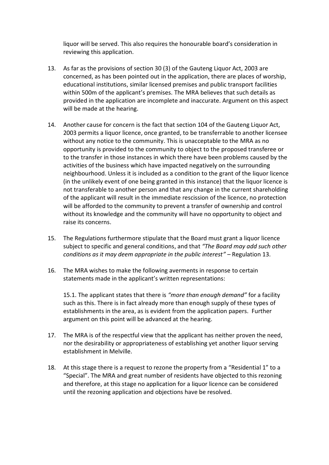liquor will be served. This also requires the honourable board's consideration in reviewing this application.

- 13. As far as the provisions of section 30 (3) of the Gauteng Liquor Act, 2003 are concerned, as has been pointed out in the application, there are places of worship, educational institutions, similar licensed premises and public transport facilities within 500m of the applicant's premises. The MRA believes that such details as provided in the application are incomplete and inaccurate. Argument on this aspect will be made at the hearing.
- 14. Another cause for concern is the fact that section 104 of the Gauteng Liquor Act, 2003 permits a liquor licence, once granted, to be transferrable to another licensee without any notice to the community. This is unacceptable to the MRA as no opportunity is provided to the community to object to the proposed transferee or to the transfer in those instances in which there have been problems caused by the activities of the business which have impacted negatively on the surrounding neighbourhood. Unless it is included as a condition to the grant of the liquor licence (in the unlikely event of one being granted in this instance) that the liquor licence is not transferable to another person and that any change in the current shareholding of the applicant will result in the immediate rescission of the licence, no protection will be afforded to the community to prevent a transfer of ownership and control without its knowledge and the community will have no opportunity to object and raise its concerns.
- 15. The Regulations furthermore stipulate that the Board must grant a liquor licence subject to specific and general conditions, and that *"The Board may add such other conditions as it may deem appropriate in the public interest" –* Regulation 13.
- 16. The MRA wishes to make the following averments in response to certain statements made in the applicant's written representations:

 15.1. The applicant states that there is *"more than enough demand"* for a facility such as this. There is in fact already more than enough supply of these types of establishments in the area, as is evident from the application papers. Further argument on this point will be advanced at the hearing.

- 17. The MRA is of the respectful view that the applicant has neither proven the need, nor the desirability or appropriateness of establishing yet another liquor serving establishment in Melville.
- 18. At this stage there is a request to rezone the property from a "Residential 1" to a "Special". The MRA and great number of residents have objected to this rezoning and therefore, at this stage no application for a liquor licence can be considered until the rezoning application and objections have be resolved.